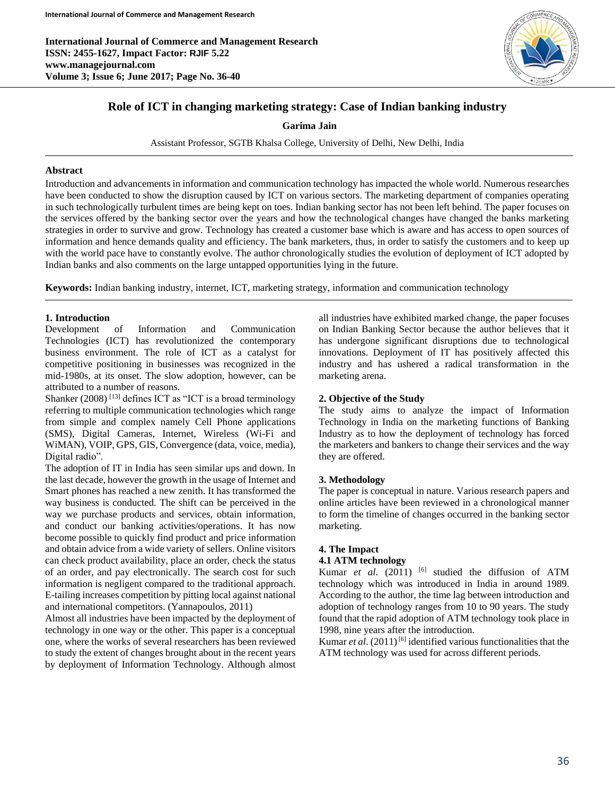**International Journal of Commerce and Management Research ISSN: 2455-1627, Impact Factor: RJIF 5.22 www.managejournal.com Volume 3; Issue 6; June 2017; Page No. 36-40**



# **Role of ICT in changing marketing strategy: Case of Indian banking industry**

**Garima Jain**

Assistant Professor, SGTB Khalsa College, University of Delhi, New Delhi, India

### **Abstract**

Introduction and advancements in information and communication technology has impacted the whole world. Numerous researches have been conducted to show the disruption caused by ICT on various sectors. The marketing department of companies operating in such technologically turbulent times are being kept on toes. Indian banking sector has not been left behind. The paper focuses on the services offered by the banking sector over the years and how the technological changes have changed the banks marketing strategies in order to survive and grow. Technology has created a customer base which is aware and has access to open sources of information and hence demands quality and efficiency. The bank marketers, thus, in order to satisfy the customers and to keep up with the world pace have to constantly evolve. The author chronologically studies the evolution of deployment of ICT adopted by Indian banks and also comments on the large untapped opportunities lying in the future.

**Keywords:** Indian banking industry, internet, ICT, marketing strategy, information and communication technology

## **1. Introduction**

Development of Information and Communication Technologies (ICT) has revolutionized the contemporary business environment. The role of ICT as a catalyst for competitive positioning in businesses was recognized in the mid-1980s, at its onset. The slow adoption, however, can be attributed to a number of reasons.

Shanker  $(2008)$ <sup>[13]</sup> defines ICT as "ICT is a broad terminology referring to multiple communication technologies which range from simple and complex namely Cell Phone applications (SMS), Digital Cameras, Internet, Wireless (Wi-Fi and WiMAN), VOIP, GPS, GIS, Convergence (data, voice, media), Digital radio".

The adoption of IT in India has seen similar ups and down. In the last decade, however the growth in the usage of Internet and Smart phones has reached a new zenith. It has transformed the way business is conducted. The shift can be perceived in the way we purchase products and services, obtain information, and conduct our banking activities/operations. It has now become possible to quickly find product and price information and obtain advice from a wide variety of sellers. Online visitors can check product availability, place an order, check the status of an order, and pay electronically. The search cost for such information is negligent compared to the traditional approach. E-tailing increases competition by pitting local against national and international competitors. (Yannapoulos, 2011)

Almost all industries have been impacted by the deployment of technology in one way or the other. This paper is a conceptual one, where the works of several researchers has been reviewed to study the extent of changes brought about in the recent years by deployment of Information Technology. Although almost

all industries have exhibited marked change, the paper focuses on Indian Banking Sector because the author believes that it has undergone significant disruptions due to technological innovations. Deployment of IT has positively affected this industry and has ushered a radical transformation in the marketing arena.

### **2. Objective of the Study**

The study aims to analyze the impact of Information Technology in India on the marketing functions of Banking Industry as to how the deployment of technology has forced the marketers and bankers to change their services and the way they are offered.

## **3. Methodology**

The paper is conceptual in nature. Various research papers and online articles have been reviewed in a chronological manner to form the timeline of changes occurred in the banking sector marketing.

# **4. The Impact**

### **4.1 ATM technology**

Kumar *et al.* (2011) <sup>[6]</sup> studied the diffusion of ATM technology which was introduced in India in around 1989. According to the author, the time lag between introduction and adoption of technology ranges from 10 to 90 years. The study found that the rapid adoption of ATM technology took place in 1998, nine years after the introduction.

Kumar *et al.* (2011)<sup>[6]</sup> identified various functionalities that the ATM technology was used for across different periods.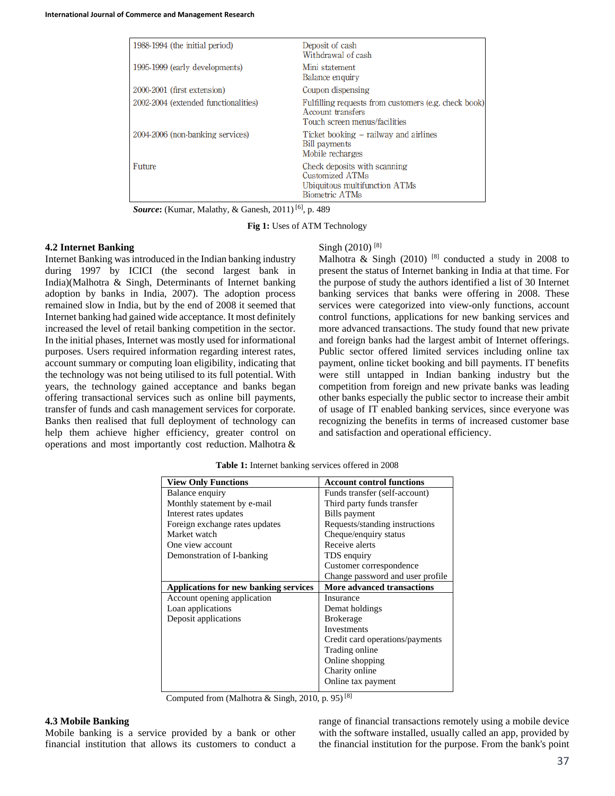| 1988-1994 (the initial period)       | Deposit of cash<br>Withdrawal of cash                                                                      |
|--------------------------------------|------------------------------------------------------------------------------------------------------------|
| 1995-1999 (early developments)       | Mini statement<br>Balance enquiry                                                                          |
| 2000-2001 (first extension)          | Coupon dispensing                                                                                          |
| 2002-2004 (extended functionalities) | Fulfilling requests from customers (e.g. check book)<br>Account transfers<br>Touch screen menus/facilities |
| 2004-2006 (non-banking services)     | Ticket booking – railway and airlines<br><b>Bill payments</b><br>Mobile recharges                          |
| Future                               | Check deposits with scanning<br>Customized ATMs<br>Ubiquitous multifunction ATMs<br><b>Biometric ATMs</b>  |

*Source***:** (Kumar, Malathy, & Ganesh, 2011) [6] , p. 489

**Fig 1:** Uses of ATM Technology

### **4.2 Internet Banking**

Internet Banking was introduced in the Indian banking industry during 1997 by ICICI (the second largest bank in India)(Malhotra & Singh, Determinants of Internet banking adoption by banks in India, 2007). The adoption process remained slow in India, but by the end of 2008 it seemed that Internet banking had gained wide acceptance. It most definitely increased the level of retail banking competition in the sector. In the initial phases, Internet was mostly used for informational purposes. Users required information regarding interest rates, account summary or computing loan eligibility, indicating that the technology was not being utilised to its full potential. With years, the technology gained acceptance and banks began offering transactional services such as online bill payments, transfer of funds and cash management services for corporate. Banks then realised that full deployment of technology can help them achieve higher efficiency, greater control on operations and most importantly cost reduction. Malhotra &

#### Singh (2010)<sup>[8]</sup>

Malhotra & Singh (2010)  $[8]$  conducted a study in 2008 to present the status of Internet banking in India at that time. For the purpose of study the authors identified a list of 30 Internet banking services that banks were offering in 2008. These services were categorized into view-only functions, account control functions, applications for new banking services and more advanced transactions. The study found that new private and foreign banks had the largest ambit of Internet offerings. Public sector offered limited services including online tax payment, online ticket booking and bill payments. IT benefits were still untapped in Indian banking industry but the competition from foreign and new private banks was leading other banks especially the public sector to increase their ambit of usage of IT enabled banking services, since everyone was recognizing the benefits in terms of increased customer base and satisfaction and operational efficiency.

| <b>View Only Functions</b>                   | <b>Account control functions</b>  |
|----------------------------------------------|-----------------------------------|
| Balance enquiry                              | Funds transfer (self-account)     |
| Monthly statement by e-mail                  | Third party funds transfer        |
| Interest rates updates                       | Bills payment                     |
| Foreign exchange rates updates               | Requests/standing instructions    |
| Market watch                                 | Cheque/enquiry status             |
| One view account                             | Receive alerts                    |
| Demonstration of I-banking                   | TDS enquiry                       |
|                                              | Customer correspondence           |
|                                              | Change password and user profile  |
|                                              |                                   |
| <b>Applications for new banking services</b> | <b>More advanced transactions</b> |
| Account opening application                  | Insurance                         |
| Loan applications                            | Demat holdings                    |
| Deposit applications                         | <b>Brokerage</b>                  |
|                                              | Investments                       |
|                                              | Credit card operations/payments   |
|                                              | Trading online                    |
|                                              | Online shopping                   |
|                                              | Charity online                    |

Computed from (Malhotra  $\&$  Singh, 2010, p. 95)<sup>[8]</sup>

#### **4.3 Mobile Banking**

Mobile banking is a service provided by a bank or other financial institution that allows its customers to conduct a range of financial transactions remotely using a mobile device with the software installed, usually called an app, provided by the financial institution for the purpose. From the bank's point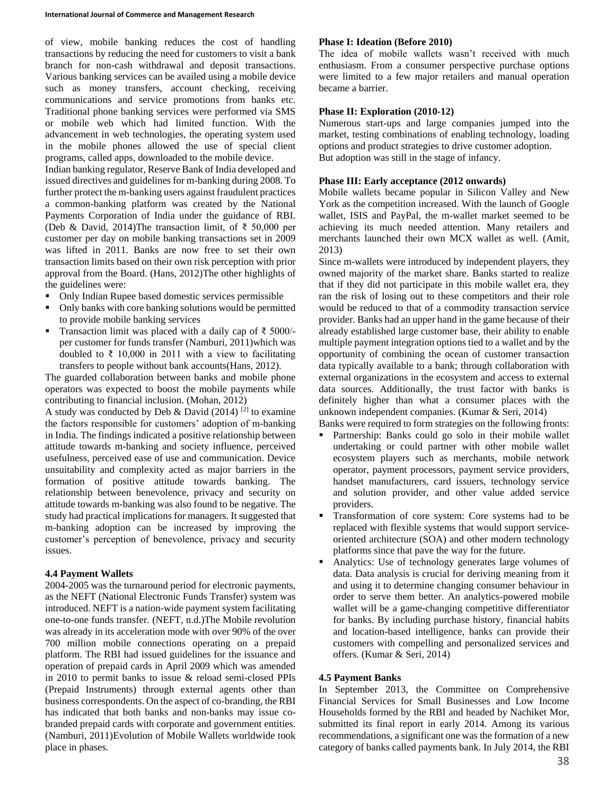of view, mobile banking reduces the cost of handling transactions by reducing the need for customers to visit a bank branch for non-cash withdrawal and deposit transactions. Various banking services can be availed using a mobile device such as money transfers, account checking, receiving communications and service promotions from banks etc. Traditional phone banking services were performed via SMS or mobile web which had limited function. With the advancement in web technologies, the operating system used in the mobile phones allowed the use of special client programs, called apps, downloaded to the mobile device.

Indian banking regulator, Reserve Bank of India developed and issued directives and guidelines for m-banking during 2008. To further protect the m-banking users against fraudulent practices a common-banking platform was created by the National Payments Corporation of India under the guidance of RBI. (Deb & David, 2014)The transaction limit, of ₹ 50,000 per customer per day on mobile banking transactions set in 2009 was lifted in 2011. Banks are now free to set their own transaction limits based on their own risk perception with prior approval from the Board. (Hans, 2012)The other highlights of the guidelines were:

- Only Indian Rupee based domestic services permissible
- Only banks with core banking solutions would be permitted to provide mobile banking services
- Transaction limit was placed with a daily cap of  $\bar{\tau}$  5000/per customer for funds transfer (Namburi, 2011)which was doubled to ₹ 10,000 in 2011 with a view to facilitating transfers to people without bank accounts(Hans, 2012).

The guarded collaboration between banks and mobile phone operators was expected to boost the mobile payments while contributing to financial inclusion. (Mohan, 2012)

A study was conducted by Deb & David  $(2014)$  <sup>[2]</sup> to examine the factors responsible for customers' adoption of m-banking in India. The findings indicated a positive relationship between attitude towards m-banking and society influence, perceived usefulness, perceived ease of use and communication. Device unsuitability and complexity acted as major barriers in the formation of positive attitude towards banking. The relationship between benevolence, privacy and security on attitude towards m-banking was also found to be negative. The study had practical implications for managers. It suggested that m-banking adoption can be increased by improving the customer's perception of benevolence, privacy and security issues.

## **4.4 Payment Wallets**

2004-2005 was the turnaround period for electronic payments, as the NEFT (National Electronic Funds Transfer) system was introduced. NEFT is a nation-wide payment system facilitating one-to-one funds transfer. (NEFT, n.d.)The Mobile revolution was already in its acceleration mode with over 90% of the over 700 million mobile connections operating on a prepaid platform. The RBI had issued guidelines for the issuance and operation of prepaid cards in April 2009 which was amended in 2010 to permit banks to issue & reload semi-closed PPIs (Prepaid Instruments) through external agents other than business correspondents. On the aspect of co-branding, the RBI has indicated that both banks and non-banks may issue cobranded prepaid cards with corporate and government entities. (Namburi, 2011)Evolution of Mobile Wallets worldwide took place in phases.

## **Phase I: Ideation (Before 2010)**

The idea of mobile wallets wasn't received with much enthusiasm. From a consumer perspective purchase options were limited to a few major retailers and manual operation became a barrier.

## **Phase II: Exploration (2010-12)**

Numerous start-ups and large companies jumped into the market, testing combinations of enabling technology, loading options and product strategies to drive customer adoption. But adoption was still in the stage of infancy.

### **Phase III: Early acceptance (2012 onwards)**

Mobile wallets became popular in Silicon Valley and New York as the competition increased. With the launch of Google wallet, ISIS and PayPal, the m-wallet market seemed to be achieving its much needed attention. Many retailers and merchants launched their own MCX wallet as well. (Amit, 2013)

Since m-wallets were introduced by independent players, they owned majority of the market share. Banks started to realize that if they did not participate in this mobile wallet era, they ran the risk of losing out to these competitors and their role would be reduced to that of a commodity transaction service provider. Banks had an upper hand in the game because of their already established large customer base, their ability to enable multiple payment integration options tied to a wallet and by the opportunity of combining the ocean of customer transaction data typically available to a bank; through collaboration with external organizations in the ecosystem and access to external data sources. Additionally, the trust factor with banks is definitely higher than what a consumer places with the unknown independent companies. (Kumar & Seri, 2014) Banks were required to form strategies on the following fronts:

- Partnership: Banks could go solo in their mobile wallet undertaking or could partner with other mobile wallet ecosystem players such as merchants, mobile network operator, payment processors, payment service providers, handset manufacturers, card issuers, technology service and solution provider, and other value added service providers.
- **Transformation of core system: Core systems had to be** replaced with flexible systems that would support serviceoriented architecture (SOA) and other modern technology platforms since that pave the way for the future.
- Analytics: Use of technology generates large volumes of data. Data analysis is crucial for deriving meaning from it and using it to determine changing consumer behaviour in order to serve them better. An analytics-powered mobile wallet will be a game-changing competitive differentiator for banks. By including purchase history, financial habits and location-based intelligence, banks can provide their customers with compelling and personalized services and offers. (Kumar & Seri, 2014)

### **4.5 Payment Banks**

In September 2013, the Committee on Comprehensive Financial Services for Small Businesses and Low Income Households formed by the RBI and headed by Nachiket Mor, submitted its final report in early 2014. Among its various recommendations, a significant one was the formation of a new category of banks called payments bank. In July 2014, the RBI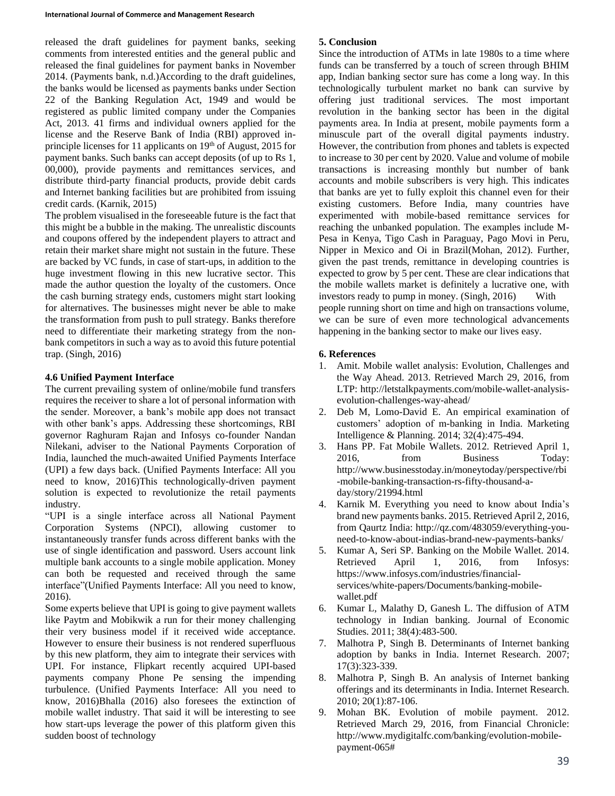released the draft guidelines for payment banks, seeking comments from interested entities and the general public and released the final guidelines for payment banks in November 2014. (Payments bank, n.d.)According to the draft guidelines, the banks would be licensed as payments banks under Section 22 of the Banking Regulation Act, 1949 and would be registered as public limited company under the Companies Act, 2013. 41 firms and individual owners applied for the license and the Reserve Bank of India (RBI) approved inprinciple licenses for 11 applicants on  $19<sup>th</sup>$  of August, 2015 for payment banks. Such banks can accept deposits (of up to Rs 1, 00,000), provide payments and remittances services, and distribute third-party financial products, provide debit cards and Internet banking facilities but are prohibited from issuing credit cards. (Karnik, 2015)

The problem visualised in the foreseeable future is the fact that this might be a bubble in the making. The unrealistic discounts and coupons offered by the independent players to attract and retain their market share might not sustain in the future. These are backed by VC funds, in case of start-ups, in addition to the huge investment flowing in this new lucrative sector. This made the author question the loyalty of the customers. Once the cash burning strategy ends, customers might start looking for alternatives. The businesses might never be able to make the transformation from push to pull strategy. Banks therefore need to differentiate their marketing strategy from the nonbank competitors in such a way as to avoid this future potential trap. (Singh, 2016)

## **4.6 Unified Payment Interface**

The current prevailing system of online/mobile fund transfers requires the receiver to share a lot of personal information with the sender. Moreover, a bank's mobile app does not transact with other bank's apps. Addressing these shortcomings, RBI governor Raghuram Rajan and Infosys co-founder Nandan Nilekani, adviser to the National Payments Corporation of India, launched the much-awaited Unified Payments Interface (UPI) a few days back. (Unified Payments Interface: All you need to know, 2016)This technologically-driven payment solution is expected to revolutionize the retail payments industry.

"UPI is a single interface across all National Payment Corporation Systems (NPCI), allowing customer to instantaneously transfer funds across different banks with the use of single identification and password. Users account link multiple bank accounts to a single mobile application. Money can both be requested and received through the same interface"(Unified Payments Interface: All you need to know, 2016).

Some experts believe that UPI is going to give payment wallets like Paytm and Mobikwik a run for their money challenging their very business model if it received wide acceptance. However to ensure their business is not rendered superfluous by this new platform, they aim to integrate their services with UPI. For instance, Flipkart recently acquired UPI-based payments company Phone Pe sensing the impending turbulence. (Unified Payments Interface: All you need to know, 2016)Bhalla (2016) also foresees the extinction of mobile wallet industry. That said it will be interesting to see how start-ups leverage the power of this platform given this sudden boost of technology

## **5. Conclusion**

Since the introduction of ATMs in late 1980s to a time where funds can be transferred by a touch of screen through BHIM app, Indian banking sector sure has come a long way. In this technologically turbulent market no bank can survive by offering just traditional services. The most important revolution in the banking sector has been in the digital payments area. In India at present, mobile payments form a minuscule part of the overall digital payments industry. However, the contribution from phones and tablets is expected to increase to 30 per cent by 2020. Value and volume of mobile transactions is increasing monthly but number of bank accounts and mobile subscribers is very high. This indicates that banks are yet to fully exploit this channel even for their existing customers. Before India, many countries have experimented with mobile-based remittance services for reaching the unbanked population. The examples include M-Pesa in Kenya, Tigo Cash in Paraguay, Pago Movi in Peru, Nipper in Mexico and Oi in Brazil(Mohan, 2012). Further, given the past trends, remittance in developing countries is expected to grow by 5 per cent. These are clear indications that the mobile wallets market is definitely a lucrative one, with investors ready to pump in money. (Singh, 2016) With people running short on time and high on transactions volume, we can be sure of even more technological advancements happening in the banking sector to make our lives easy.

# **6. References**

- 1. Amit. Mobile wallet analysis: Evolution, Challenges and the Way Ahead. 2013. Retrieved March 29, 2016, from LTP: http://letstalkpayments.com/mobile-wallet-analysisevolution-challenges-way-ahead/
- 2. Deb M, Lomo-David E. An empirical examination of customers' adoption of m-banking in India. Marketing Intelligence & Planning. 2014; 32(4):475-494.
- 3. Hans PP. Fat Mobile Wallets. 2012. Retrieved April 1, 2016, from Business Today: http://www.businesstoday.in/moneytoday/perspective/rbi -mobile-banking-transaction-rs-fifty-thousand-aday/story/21994.html
- 4. Karnik M. Everything you need to know about India's brand new payments banks. 2015. Retrieved April 2, 2016, from Qaurtz India: http://qz.com/483059/everything-youneed-to-know-about-indias-brand-new-payments-banks/
- 5. Kumar A, Seri SP. Banking on the Mobile Wallet. 2014. Retrieved April 1, 2016, from Infosys: https://www.infosys.com/industries/financialservices/white-papers/Documents/banking-mobilewallet.pdf
- 6. Kumar L, Malathy D, Ganesh L. The diffusion of ATM technology in Indian banking. Journal of Economic Studies. 2011; 38(4):483-500.
- 7. Malhotra P, Singh B. Determinants of Internet banking adoption by banks in India. Internet Research. 2007; 17(3):323-339.
- 8. Malhotra P, Singh B. An analysis of Internet banking offerings and its determinants in India. Internet Research. 2010; 20(1):87-106.
- 9. Mohan BK. Evolution of mobile payment. 2012. Retrieved March 29, 2016, from Financial Chronicle: http://www.mydigitalfc.com/banking/evolution-mobilepayment-065#